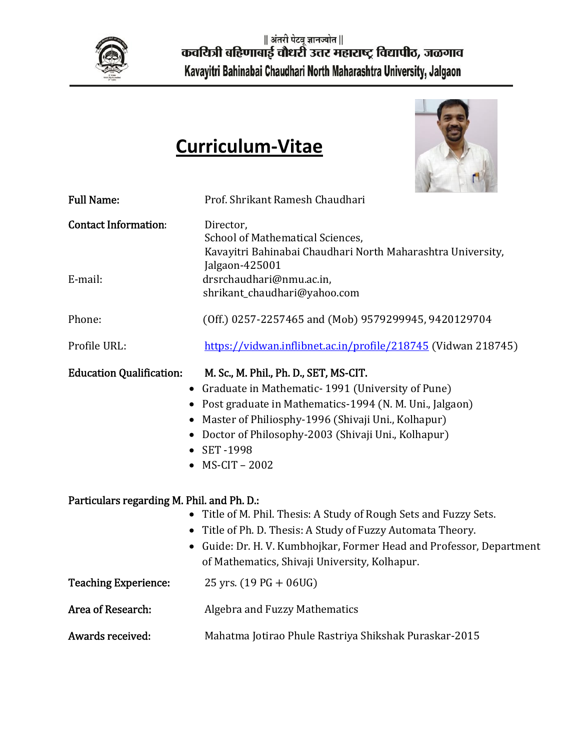

# **Curriculum‐Vitae**



| <b>Full Name:</b>                            | Prof. Shrikant Ramesh Chaudhari                                                                                                                                                                                                                                                                  |
|----------------------------------------------|--------------------------------------------------------------------------------------------------------------------------------------------------------------------------------------------------------------------------------------------------------------------------------------------------|
| <b>Contact Information:</b><br>E-mail:       | Director,<br>School of Mathematical Sciences,<br>Kavayitri Bahinabai Chaudhari North Maharashtra University,<br>Jalgaon-425001<br>drsrchaudhari@nmu.ac.in,                                                                                                                                       |
|                                              | shrikant_chaudhari@yahoo.com                                                                                                                                                                                                                                                                     |
| Phone:                                       | (Off.) 0257-2257465 and (Mob) 9579299945, 9420129704                                                                                                                                                                                                                                             |
| Profile URL:                                 | https://vidwan.inflibnet.ac.in/profile/218745 (Vidwan 218745)                                                                                                                                                                                                                                    |
| <b>Education Qualification:</b><br>$\bullet$ | M. Sc., M. Phil., Ph. D., SET, MS-CIT.<br>Graduate in Mathematic-1991 (University of Pune)<br>• Post graduate in Mathematics-1994 (N. M. Uni., Jalgaon)<br>Master of Philiosphy-1996 (Shivaji Uni., Kolhapur)<br>Doctor of Philosophy-2003 (Shivaji Uni., Kolhapur)<br>• SET-1998<br>MS-CIT-2002 |
| Particulars regarding M. Phil. and Ph. D.:   |                                                                                                                                                                                                                                                                                                  |
| $\bullet$                                    | • Title of M. Phil. Thesis: A Study of Rough Sets and Fuzzy Sets.<br>Title of Ph. D. Thesis: A Study of Fuzzy Automata Theory.<br>Guide: Dr. H. V. Kumbhojkar, Former Head and Professor, Department<br>of Mathematics, Shivaji University, Kolhapur.                                            |
| <b>Teaching Experience:</b>                  | 25 yrs. $(19 PG + 06 UG)$                                                                                                                                                                                                                                                                        |
| Area of Research:                            | <b>Algebra and Fuzzy Mathematics</b>                                                                                                                                                                                                                                                             |
| Awards received:                             | Mahatma Jotirao Phule Rastriya Shikshak Puraskar-2015                                                                                                                                                                                                                                            |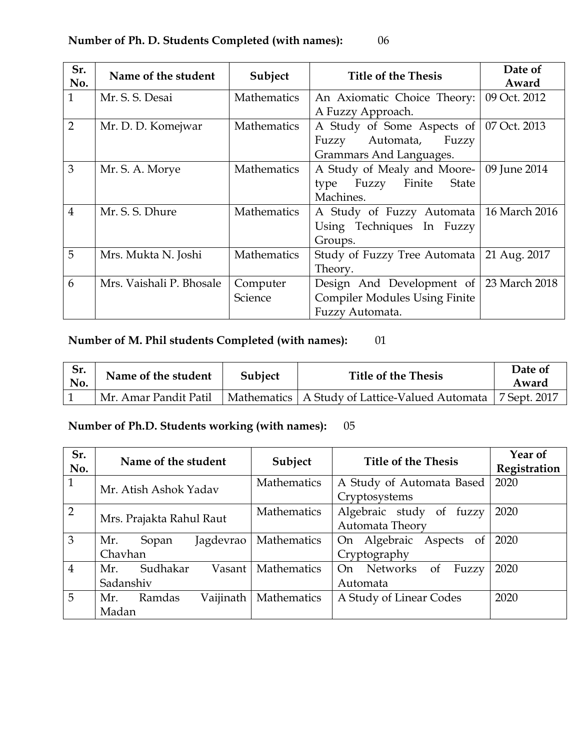| Sr.<br>No.     | Name of the student      | Subject            | <b>Title of the Thesis</b>              | Date of<br>Award |
|----------------|--------------------------|--------------------|-----------------------------------------|------------------|
| $\mathbf{1}$   | Mr. S. S. Desai          | <b>Mathematics</b> | An Axiomatic Choice Theory:             | 09 Oct. 2012     |
|                |                          |                    | A Fuzzy Approach.                       |                  |
| $\overline{2}$ | Mr. D. D. Komejwar       | Mathematics        | A Study of Some Aspects of              | 07 Oct. 2013     |
|                |                          |                    | Automata,<br>Fuzzy<br>Fuzzy             |                  |
|                |                          |                    | Grammars And Languages.                 |                  |
| $\overline{3}$ | Mr. S. A. Morye          | <b>Mathematics</b> | A Study of Mealy and Moore-             | 09 June 2014     |
|                |                          |                    | Finite<br>Fuzzy<br><b>State</b><br>type |                  |
|                |                          |                    | Machines.                               |                  |
| $\overline{4}$ | Mr. S. S. Dhure          | <b>Mathematics</b> | A Study of Fuzzy Automata               | 16 March 2016    |
|                |                          |                    | Using Techniques In Fuzzy               |                  |
|                |                          |                    | Groups.                                 |                  |
| 5              | Mrs. Mukta N. Joshi      | <b>Mathematics</b> | Study of Fuzzy Tree Automata            | 21 Aug. 2017     |
|                |                          |                    | Theory.                                 |                  |
| 6              | Mrs. Vaishali P. Bhosale | Computer           | Design And Development of               | 23 March 2018    |
|                |                          | Science            | <b>Compiler Modules Using Finite</b>    |                  |
|                |                          |                    | Fuzzy Automata.                         |                  |

# **Number of M. Phil students Completed (with names):** 01

| Sr.<br>No. | Name of the student   | Subject | <b>Title of the Thesis</b>                       | Date of<br>Award |
|------------|-----------------------|---------|--------------------------------------------------|------------------|
|            | Mr. Amar Pandit Patil |         | Mathematics   A Study of Lattice-Valued Automata | 7 Sept. 2017     |

# **Number of Ph.D. Students working (with names):** 05

| Sr.<br>No.     | Name of the student        | Subject            | <b>Title of the Thesis</b>  | Year of<br>Registration |
|----------------|----------------------------|--------------------|-----------------------------|-------------------------|
| $\mathbf{1}$   | Mr. Atish Ashok Yadav      | Mathematics        | A Study of Automata Based   | 2020                    |
|                |                            |                    | Cryptosystems               |                         |
| $\overline{2}$ | Mrs. Prajakta Rahul Raut   | Mathematics        | Algebraic study of<br>fuzzy | 2020                    |
|                |                            |                    | Automata Theory             |                         |
| 3              | Jagdevrao<br>Mr.<br>Sopan  | Mathematics        | On Algebraic Aspects of     | 2020                    |
|                | Chavhan                    |                    | Cryptography                |                         |
| $\overline{4}$ | Sudhakar<br>Mr.<br>Vasant  | <b>Mathematics</b> | On Networks<br>of<br>Fuzzy  | 2020                    |
|                | Sadanshiv                  |                    | Automata                    |                         |
| 5              | Vaijinath<br>Mr.<br>Ramdas | Mathematics        | A Study of Linear Codes     | 2020                    |
|                | Madan                      |                    |                             |                         |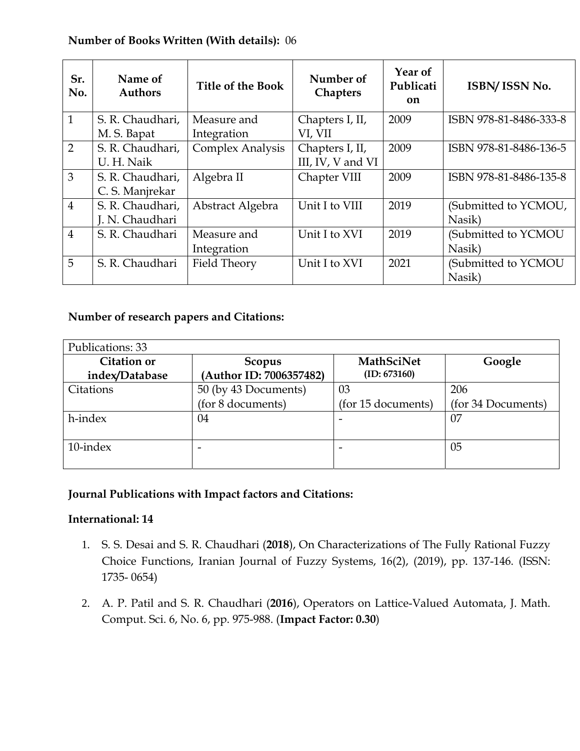#### **Number of Books Written (With details):** 06

| Sr.<br>No.     | Name of<br><b>Authors</b> | <b>Title of the Book</b> | Number of<br><b>Chapters</b> | Year of<br>Publicati<br>on | ISBN/ISSN No.          |
|----------------|---------------------------|--------------------------|------------------------------|----------------------------|------------------------|
| $\mathbf{1}$   | S. R. Chaudhari,          | Measure and              | Chapters I, II,              | 2009                       | ISBN 978-81-8486-333-8 |
|                | M. S. Bapat               | Integration              | VI, VII                      |                            |                        |
| 2              | S. R. Chaudhari,          | Complex Analysis         | Chapters I, II,              | 2009                       | ISBN 978-81-8486-136-5 |
|                | U. H. Naik                |                          | III, IV, V and VI            |                            |                        |
| 3              | S. R. Chaudhari,          | Algebra II               | Chapter VIII                 | 2009                       | ISBN 978-81-8486-135-8 |
|                | C. S. Manjrekar           |                          |                              |                            |                        |
| $\overline{4}$ | S. R. Chaudhari,          | Abstract Algebra         | Unit I to VIII               | 2019                       | (Submitted to YCMOU,   |
|                | J. N. Chaudhari           |                          |                              |                            | Nasik)                 |
| $\overline{4}$ | S. R. Chaudhari           | Measure and              | Unit I to XVI                | 2019                       | (Submitted to YCMOU    |
|                |                           | Integration              |                              |                            | Nasik)                 |
| 5              | S. R. Chaudhari           | Field Theory             | Unit I to XVI                | 2021                       | (Submitted to YCMOU    |
|                |                           |                          |                              |                            | Nasik)                 |

#### **Number of research papers and Citations:**

| Publications: 33                     |                                   |                                   |                    |  |  |
|--------------------------------------|-----------------------------------|-----------------------------------|--------------------|--|--|
| <b>Citation or</b><br>index/Database | Scopus<br>(Author ID: 7006357482) | <b>MathSciNet</b><br>(ID: 673160) | Google             |  |  |
| Citations                            | 50 (by 43 Documents)              | 03                                | 206                |  |  |
|                                      | (for 8 documents)                 | (for 15 documents)                | (for 34 Documents) |  |  |
| h-index                              | 04                                |                                   | 07                 |  |  |
| $10$ -index                          |                                   |                                   | 05                 |  |  |

#### **Journal Publications with Impact factors and Citations:**

#### **International: 14**

- 1. S. S. Desai and S. R. Chaudhari (**2018**), On Characterizations of The Fully Rational Fuzzy Choice Functions, Iranian Journal of Fuzzy Systems, 16(2), (2019), pp. 137-146. (ISSN: 1735- 0654)
- 2. A. P. Patil and S. R. Chaudhari (**2016**), Operators on Lattice-Valued Automata, J. Math. Comput. Sci. 6, No. 6, pp. 975-988. (**Impact Factor: 0.30**)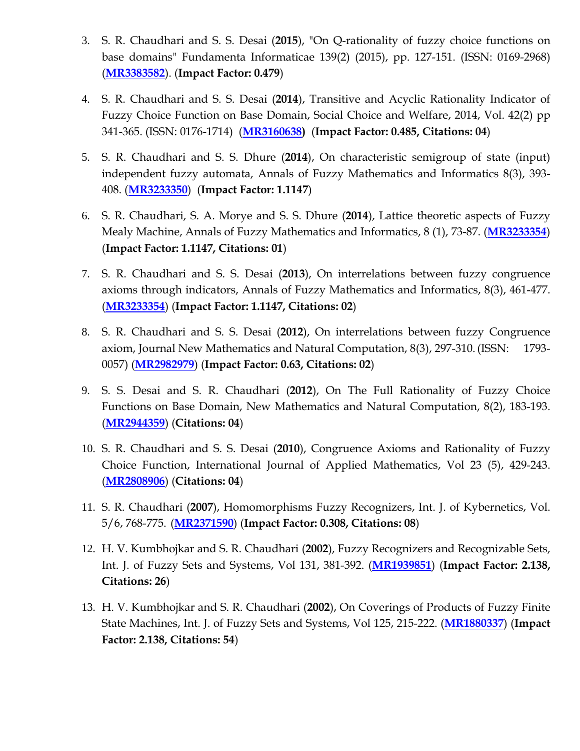- 3. S. R. Chaudhari and S. S. Desai (**2015**), "On Q-rationality of fuzzy choice functions on base domains" Fundamenta Informaticae 139(2) (2015), pp. 127-151. (ISSN: 0169-2968) (**MR3383582**). (**Impact Factor: 0.479**)
- 4. S. R. Chaudhari and S. S. Desai (**2014**), Transitive and Acyclic Rationality Indicator of Fuzzy Choice Function on Base Domain, Social Choice and Welfare, 2014, Vol. 42(2) pp 341-365. (ISSN: 0176-1714) (**MR3160638)** (**Impact Factor: 0.485, Citations: 04**)
- 5. S. R. Chaudhari and S. S. Dhure (**2014**), On characteristic semigroup of state (input) independent fuzzy automata, Annals of Fuzzy Mathematics and Informatics 8(3), 393- 408. (**MR3233350**) (**Impact Factor: 1.1147**)
- 6. S. R. Chaudhari, S. A. Morye and S. S. Dhure (**2014**), Lattice theoretic aspects of Fuzzy Mealy Machine, Annals of Fuzzy Mathematics and Informatics, 8 (1), 73-87. (**MR3233354**) (**Impact Factor: 1.1147, Citations: 01**)
- 7. S. R. Chaudhari and S. S. Desai (**2013**), On interrelations between fuzzy congruence axioms through indicators, Annals of Fuzzy Mathematics and Informatics, 8(3), 461-477. (**MR3233354**) (**Impact Factor: 1.1147, Citations: 02**)
- 8. S. R. Chaudhari and S. S. Desai (**2012**), On interrelations between fuzzy Congruence axiom, Journal New Mathematics and Natural Computation, 8(3), 297-310. (ISSN: 1793- 0057) (**MR2982979**) (**Impact Factor: 0.63, Citations: 02**)
- 9. S. S. Desai and S. R. Chaudhari (**2012**), On The Full Rationality of Fuzzy Choice Functions on Base Domain, New Mathematics and Natural Computation, 8(2), 183-193. (**MR2944359**) (**Citations: 04**)
- 10. S. R. Chaudhari and S. S. Desai (**2010**), Congruence Axioms and Rationality of Fuzzy Choice Function, International Journal of Applied Mathematics, Vol 23 (5), 429-243. (**MR2808906**) (**Citations: 04**)
- 11. S. R. Chaudhari (**2007**), Homomorphisms Fuzzy Recognizers, Int. J. of Kybernetics, Vol. 5/6, 768-775. (**MR2371590**) (**Impact Factor: 0.308, Citations: 08**)
- 12. H. V. Kumbhojkar and S. R. Chaudhari (**2002**), Fuzzy Recognizers and Recognizable Sets, Int. J. of Fuzzy Sets and Systems, Vol 131, 381-392. (**MR1939851**) (**Impact Factor: 2.138, Citations: 26**)
- 13. H. V. Kumbhojkar and S. R. Chaudhari (**2002**), On Coverings of Products of Fuzzy Finite State Machines, Int. J. of Fuzzy Sets and Systems, Vol 125, 215-222. (**MR1880337**) (**Impact Factor: 2.138, Citations: 54**)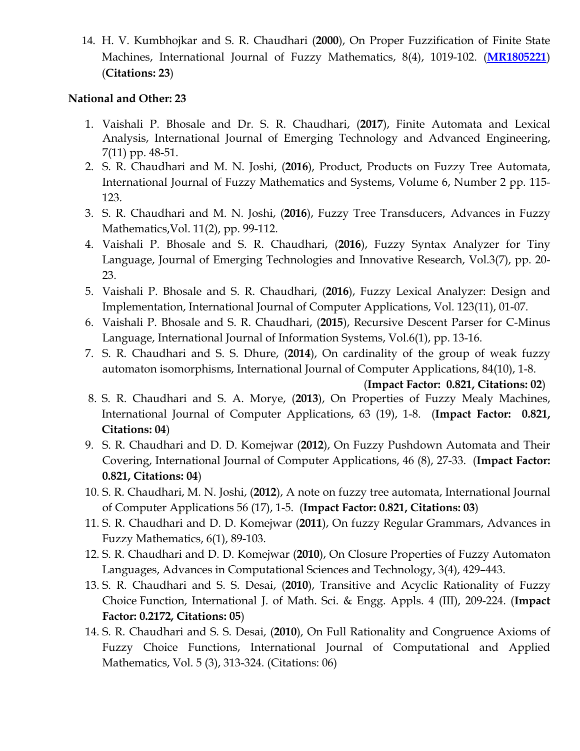14. H. V. Kumbhojkar and S. R. Chaudhari (**2000**), On Proper Fuzzification of Finite State Machines, International Journal of Fuzzy Mathematics, 8(4), 1019-102. (**MR1805221**) (**Citations: 23**)

#### **National and Other: 23**

- 1. Vaishali P. Bhosale and Dr. S. R. Chaudhari, (**2017**), Finite Automata and Lexical Analysis, International Journal of Emerging Technology and Advanced Engineering, 7(11) pp. 48-51.
- 2. S. R. Chaudhari and M. N. Joshi, (**2016**), Product, Products on Fuzzy Tree Automata, International Journal of Fuzzy Mathematics and Systems, Volume 6, Number 2 pp. 115- 123.
- 3. S. R. Chaudhari and M. N. Joshi, (**2016**), Fuzzy Tree Transducers, Advances in Fuzzy Mathematics,Vol. 11(2), pp. 99-112.
- 4. Vaishali P. Bhosale and S. R. Chaudhari, (**2016**), Fuzzy Syntax Analyzer for Tiny Language, Journal of Emerging Technologies and Innovative Research, Vol.3(7), pp. 20- 23.
- 5. Vaishali P. Bhosale and S. R. Chaudhari, (**2016**), Fuzzy Lexical Analyzer: Design and Implementation, International Journal of Computer Applications, Vol. 123(11), 01-07.
- 6. Vaishali P. Bhosale and S. R. Chaudhari, (**2015**), Recursive Descent Parser for C-Minus Language, International Journal of Information Systems, Vol.6(1), pp. 13-16.
- 7. S. R. Chaudhari and S. S. Dhure, (**2014**), On cardinality of the group of weak fuzzy automaton isomorphisms, International Journal of Computer Applications, 84(10), 1-8.

(**Impact Factor: 0.821, Citations: 02**)

- 8. S. R. Chaudhari and S. A. Morye, (**2013**), On Properties of Fuzzy Mealy Machines, International Journal of Computer Applications, 63 (19), 1-8. (**Impact Factor: 0.821, Citations: 04**)
- 9. S. R. Chaudhari and D. D. Komejwar (**2012**), On Fuzzy Pushdown Automata and Their Covering, International Journal of Computer Applications, 46 (8), 27-33. (**Impact Factor: 0.821, Citations: 04**)
- 10. S. R. Chaudhari, M. N. Joshi, (**2012**), A note on fuzzy tree automata, International Journal of Computer Applications 56 (17), 1-5. (**Impact Factor: 0.821, Citations: 03**)
- 11. S. R. Chaudhari and D. D. Komejwar (**2011**), On fuzzy Regular Grammars, Advances in Fuzzy Mathematics, 6(1), 89-103.
- 12. S. R. Chaudhari and D. D. Komejwar (**2010**), On Closure Properties of Fuzzy Automaton Languages, Advances in Computational Sciences and Technology, 3(4), 429–443.
- 13. S. R. Chaudhari and S. S. Desai, (**2010**), Transitive and Acyclic Rationality of Fuzzy Choice Function, International J. of Math. Sci. & Engg. Appls. 4 (III), 209-224. (**Impact Factor: 0.2172, Citations: 05**)
- 14. S. R. Chaudhari and S. S. Desai, (**2010**), On Full Rationality and Congruence Axioms of Fuzzy Choice Functions, International Journal of Computational and Applied Mathematics, Vol. 5 (3), 313-324. (Citations: 06)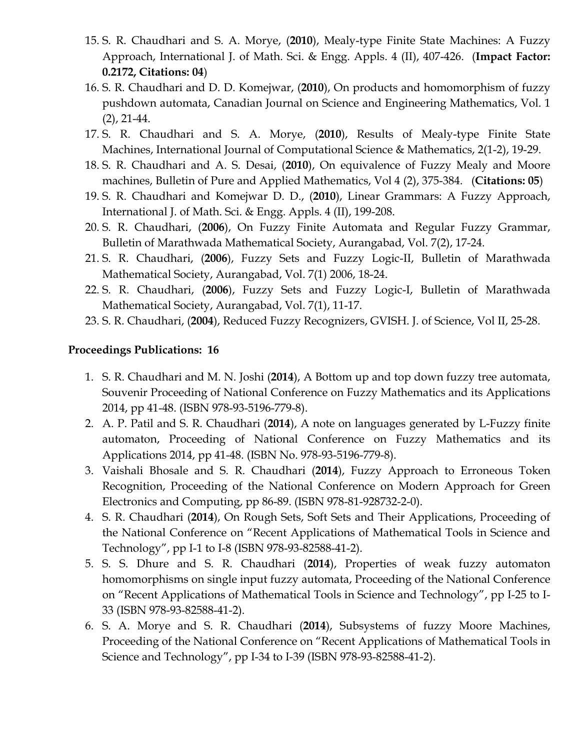- 15. S. R. Chaudhari and S. A. Morye, (**2010**), Mealy-type Finite State Machines: A Fuzzy Approach, International J. of Math. Sci. & Engg. Appls. 4 (II), 407-426. (**Impact Factor: 0.2172, Citations: 04**)
- 16. S. R. Chaudhari and D. D. Komejwar, (**2010**), On products and homomorphism of fuzzy pushdown automata, Canadian Journal on Science and Engineering Mathematics, Vol. 1 (2), 21-44.
- 17. S. R. Chaudhari and S. A. Morye, (**2010**), Results of Mealy-type Finite State Machines, International Journal of Computational Science & Mathematics, 2(1-2), 19-29.
- 18. S. R. Chaudhari and A. S. Desai, (**2010**), On equivalence of Fuzzy Mealy and Moore machines, Bulletin of Pure and Applied Mathematics, Vol 4 (2), 375-384. (**Citations: 05**)
- 19. S. R. Chaudhari and Komejwar D. D., (**2010**), Linear Grammars: A Fuzzy Approach, International J. of Math. Sci. & Engg. Appls. 4 (II), 199-208.
- 20. S. R. Chaudhari, (**2006**), On Fuzzy Finite Automata and Regular Fuzzy Grammar, Bulletin of Marathwada Mathematical Society, Aurangabad, Vol. 7(2), 17-24.
- 21. S. R. Chaudhari, (**2006**), Fuzzy Sets and Fuzzy Logic-II, Bulletin of Marathwada Mathematical Society, Aurangabad, Vol. 7(1) 2006, 18-24.
- 22. S. R. Chaudhari, (**2006**), Fuzzy Sets and Fuzzy Logic-I, Bulletin of Marathwada Mathematical Society, Aurangabad, Vol. 7(1), 11-17.
- 23. S. R. Chaudhari, (**2004**), Reduced Fuzzy Recognizers, GVISH. J. of Science, Vol II, 25-28.

#### **Proceedings Publications: 16**

- 1. S. R. Chaudhari and M. N. Joshi (**2014**), A Bottom up and top down fuzzy tree automata, Souvenir Proceeding of National Conference on Fuzzy Mathematics and its Applications 2014, pp 41-48. (ISBN 978-93-5196-779-8).
- 2. A. P. Patil and S. R. Chaudhari (**2014**), A note on languages generated by L-Fuzzy finite automaton, Proceeding of National Conference on Fuzzy Mathematics and its Applications 2014, pp 41-48. (ISBN No. 978-93-5196-779-8).
- 3. Vaishali Bhosale and S. R. Chaudhari (**2014**), Fuzzy Approach to Erroneous Token Recognition, Proceeding of the National Conference on Modern Approach for Green Electronics and Computing, pp 86-89. (ISBN 978-81-928732-2-0).
- 4. S. R. Chaudhari (**2014**), On Rough Sets, Soft Sets and Their Applications, Proceeding of the National Conference on "Recent Applications of Mathematical Tools in Science and Technology", pp I-1 to I-8 (ISBN 978-93-82588-41-2).
- 5. S. S. Dhure and S. R. Chaudhari (**2014**), Properties of weak fuzzy automaton homomorphisms on single input fuzzy automata, Proceeding of the National Conference on "Recent Applications of Mathematical Tools in Science and Technology", pp I-25 to I-33 (ISBN 978-93-82588-41-2).
- 6. S. A. Morye and S. R. Chaudhari (**2014**), Subsystems of fuzzy Moore Machines, Proceeding of the National Conference on "Recent Applications of Mathematical Tools in Science and Technology", pp I-34 to I-39 (ISBN 978-93-82588-41-2).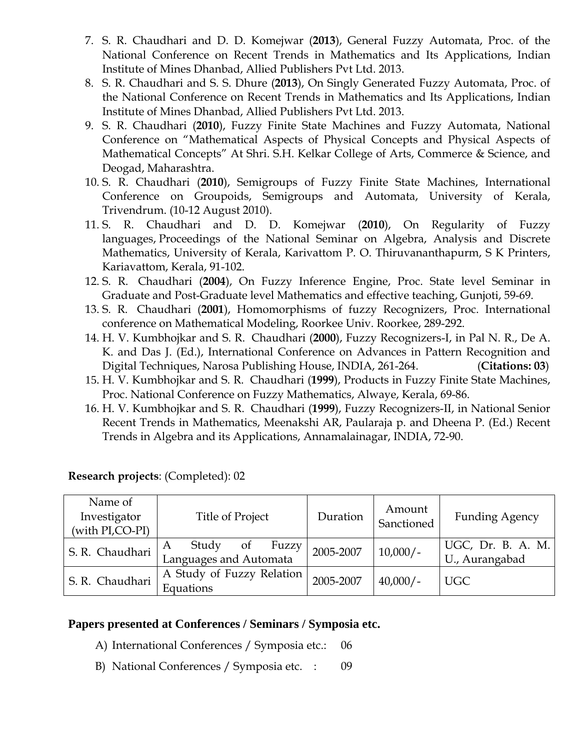- 7. S. R. Chaudhari and D. D. Komejwar (**2013**), General Fuzzy Automata, Proc. of the National Conference on Recent Trends in Mathematics and Its Applications, Indian Institute of Mines Dhanbad, Allied Publishers Pvt Ltd. 2013.
- 8. S. R. Chaudhari and S. S. Dhure (**2013**), On Singly Generated Fuzzy Automata, Proc. of the National Conference on Recent Trends in Mathematics and Its Applications, Indian Institute of Mines Dhanbad, Allied Publishers Pvt Ltd. 2013.
- 9. S. R. Chaudhari (**2010**), Fuzzy Finite State Machines and Fuzzy Automata, National Conference on "Mathematical Aspects of Physical Concepts and Physical Aspects of Mathematical Concepts" At Shri. S.H. Kelkar College of Arts, Commerce & Science, and Deogad, Maharashtra.
- 10. S. R. Chaudhari (**2010**), Semigroups of Fuzzy Finite State Machines, International Conference on Groupoids, Semigroups and Automata, University of Kerala, Trivendrum. (10-12 August 2010).
- 11. S. R. Chaudhari and D. D. Komejwar (**2010**), On Regularity of Fuzzy languages, Proceedings of the National Seminar on Algebra, Analysis and Discrete Mathematics, University of Kerala, Karivattom P. O. Thiruvananthapurm, S K Printers, Kariavattom, Kerala, 91-102.
- 12. S. R. Chaudhari (**2004**), On Fuzzy Inference Engine, Proc. State level Seminar in Graduate and Post-Graduate level Mathematics and effective teaching, Gunjoti, 59-69.
- 13. S. R. Chaudhari (**2001**), Homomorphisms of fuzzy Recognizers, Proc. International conference on Mathematical Modeling, Roorkee Univ. Roorkee, 289-292.
- 14. H. V. Kumbhojkar and S. R. Chaudhari (**2000**), Fuzzy Recognizers-I, in Pal N. R., De A. K. and Das J. (Ed.), International Conference on Advances in Pattern Recognition and Digital Techniques, Narosa Publishing House, INDIA, 261-264. (**Citations: 03**)
- 15. H. V. Kumbhojkar and S. R. Chaudhari (**1999**), Products in Fuzzy Finite State Machines, Proc. National Conference on Fuzzy Mathematics, Alwaye, Kerala, 69-86.
- 16. H. V. Kumbhojkar and S. R. Chaudhari (**1999**), Fuzzy Recognizers-II, in National Senior Recent Trends in Mathematics, Meenakshi AR, Paularaja p. and Dheena P. (Ed.) Recent Trends in Algebra and its Applications, Annamalainagar, INDIA, 72-90.

| Name of<br>Investigator<br>(with PI,CO-PI) | <b>Title of Project</b>                             | Duration  | Amount<br>Sanctioned | <b>Funding Agency</b>               |
|--------------------------------------------|-----------------------------------------------------|-----------|----------------------|-------------------------------------|
| S. R. Chaudhari                            | Study<br>Fuzzy<br>of<br>A<br>Languages and Automata | 2005-2007 | $10,000/-$           | UGC, Dr. B. A. M.<br>U., Aurangabad |
| S. R. Chaudhari                            | A Study of Fuzzy Relation  <br>Equations            | 2005-2007 | $40,000/-$           | <b>UGC</b>                          |

**Research projects**: (Completed): 02

#### **Papers presented at Conferences / Seminars / Symposia etc.**

- A) International Conferences / Symposia etc.: 06
- B) National Conferences / Symposia etc. : 09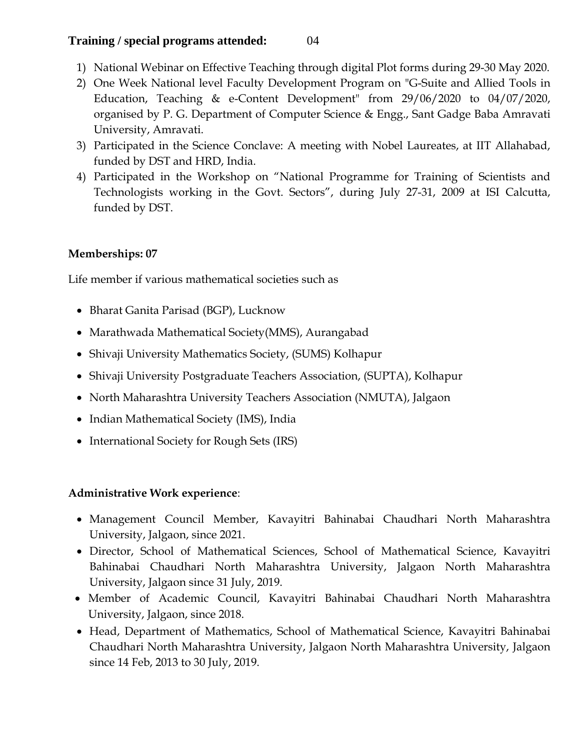## **Training / special programs attended:** 04

- 1) National Webinar on Effective Teaching through digital Plot forms during 29-30 May 2020.
- 2) One Week National level Faculty Development Program on "G-Suite and Allied Tools in Education, Teaching & e-Content Development" from 29/06/2020 to 04/07/2020, organised by P. G. Department of Computer Science & Engg., Sant Gadge Baba Amravati University, Amravati.
- 3) Participated in the Science Conclave: A meeting with Nobel Laureates, at IIT Allahabad, funded by DST and HRD, India.
- 4) Participated in the Workshop on "National Programme for Training of Scientists and Technologists working in the Govt. Sectors", during July 27-31, 2009 at ISI Calcutta, funded by DST.

## **Memberships: 07**

Life member if various mathematical societies such as

- Bharat Ganita Parisad (BGP), Lucknow
- Marathwada Mathematical Society(MMS), Aurangabad
- Shivaji University Mathematics Society, (SUMS) Kolhapur
- Shivaji University Postgraduate Teachers Association, (SUPTA), Kolhapur
- North Maharashtra University Teachers Association (NMUTA), Jalgaon
- Indian Mathematical Society (IMS), India
- International Society for Rough Sets (IRS)

#### **Administrative Work experience**:

- Management Council Member, Kavayitri Bahinabai Chaudhari North Maharashtra University, Jalgaon, since 2021.
- Director, School of Mathematical Sciences, School of Mathematical Science, Kavayitri Bahinabai Chaudhari North Maharashtra University, Jalgaon North Maharashtra University, Jalgaon since 31 July, 2019.
- Member of Academic Council, Kavayitri Bahinabai Chaudhari North Maharashtra University, Jalgaon, since 2018.
- Head, Department of Mathematics, School of Mathematical Science, Kavayitri Bahinabai Chaudhari North Maharashtra University, Jalgaon North Maharashtra University, Jalgaon since 14 Feb, 2013 to 30 July, 2019.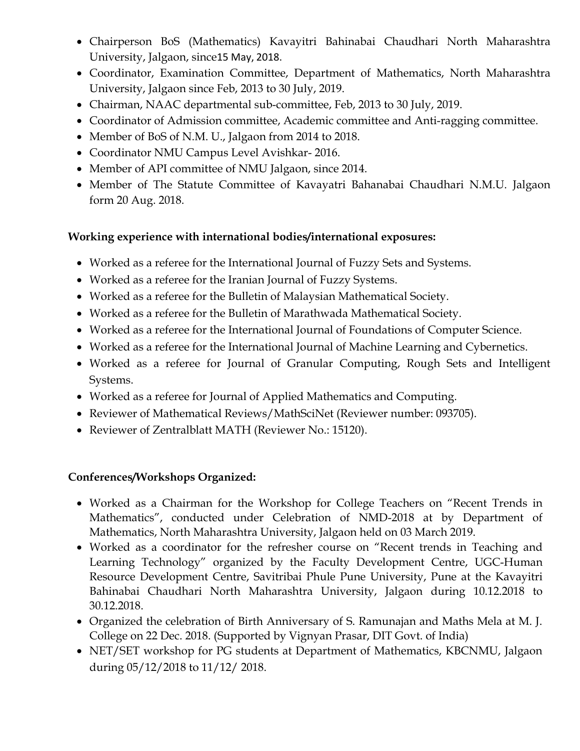- Chairperson BoS (Mathematics) Kavayitri Bahinabai Chaudhari North Maharashtra University, Jalgaon, since15 May, 2018.
- Coordinator, Examination Committee, Department of Mathematics, North Maharashtra University, Jalgaon since Feb, 2013 to 30 July, 2019.
- Chairman, NAAC departmental sub-committee, Feb, 2013 to 30 July, 2019.
- Coordinator of Admission committee, Academic committee and Anti-ragging committee.
- Member of BoS of N.M. U., Jalgaon from 2014 to 2018.
- Coordinator NMU Campus Level Avishkar- 2016.
- Member of API committee of NMU Jalgaon, since 2014.
- Member of The Statute Committee of Kavayatri Bahanabai Chaudhari N.M.U. Jalgaon form 20 Aug. 2018.

#### **Working experience with international bodies/international exposures:**

- Worked as a referee for the International Journal of Fuzzy Sets and Systems.
- Worked as a referee for the Iranian Journal of Fuzzy Systems.
- Worked as a referee for the Bulletin of Malaysian Mathematical Society.
- Worked as a referee for the Bulletin of Marathwada Mathematical Society.
- Worked as a referee for the International Journal of Foundations of Computer Science.
- Worked as a referee for the International Journal of Machine Learning and Cybernetics.
- Worked as a referee for Journal of Granular Computing, Rough Sets and Intelligent Systems.
- Worked as a referee for Journal of Applied Mathematics and Computing.
- Reviewer of Mathematical Reviews/MathSciNet (Reviewer number: 093705).
- Reviewer of Zentralblatt MATH (Reviewer No.: 15120).

## **Conferences/Workshops Organized:**

- Worked as a Chairman for the Workshop for College Teachers on "Recent Trends in Mathematics", conducted under Celebration of NMD-2018 at by Department of Mathematics, North Maharashtra University, Jalgaon held on 03 March 2019.
- Worked as a coordinator for the refresher course on "Recent trends in Teaching and Learning Technology" organized by the Faculty Development Centre, UGC-Human Resource Development Centre, Savitribai Phule Pune University, Pune at the Kavayitri Bahinabai Chaudhari North Maharashtra University, Jalgaon during 10.12.2018 to 30.12.2018.
- Organized the celebration of Birth Anniversary of S. Ramunajan and Maths Mela at M. J. College on 22 Dec. 2018. (Supported by Vignyan Prasar, DIT Govt. of India)
- NET/SET workshop for PG students at Department of Mathematics, KBCNMU, Jalgaon during 05/12/2018 to 11/12/ 2018.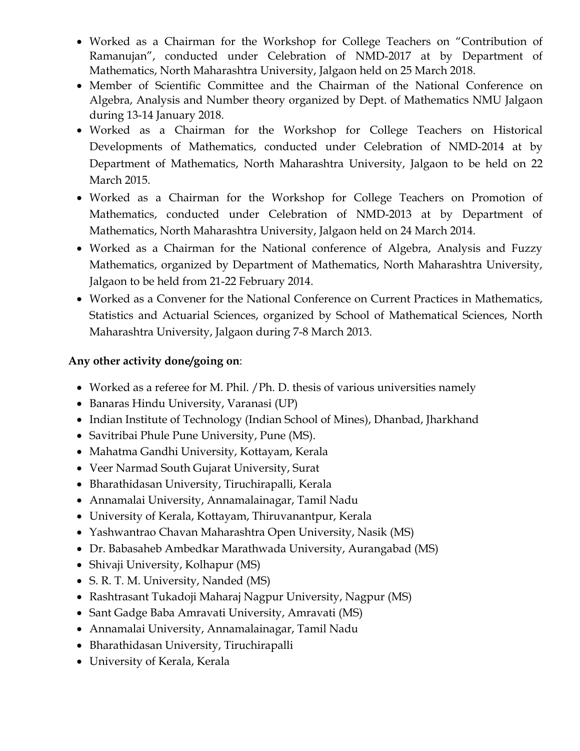- Worked as a Chairman for the Workshop for College Teachers on "Contribution of Ramanujan", conducted under Celebration of NMD-2017 at by Department of Mathematics, North Maharashtra University, Jalgaon held on 25 March 2018.
- Member of Scientific Committee and the Chairman of the National Conference on Algebra, Analysis and Number theory organized by Dept. of Mathematics NMU Jalgaon during 13-14 January 2018.
- Worked as a Chairman for the Workshop for College Teachers on Historical Developments of Mathematics, conducted under Celebration of NMD-2014 at by Department of Mathematics, North Maharashtra University, Jalgaon to be held on 22 March 2015.
- Worked as a Chairman for the Workshop for College Teachers on Promotion of Mathematics, conducted under Celebration of NMD-2013 at by Department of Mathematics, North Maharashtra University, Jalgaon held on 24 March 2014.
- Worked as a Chairman for the National conference of Algebra, Analysis and Fuzzy Mathematics, organized by Department of Mathematics, North Maharashtra University, Jalgaon to be held from 21-22 February 2014.
- Worked as a Convener for the National Conference on Current Practices in Mathematics, Statistics and Actuarial Sciences, organized by School of Mathematical Sciences, North Maharashtra University, Jalgaon during 7-8 March 2013.

#### **Any other activity done/going on**:

- Worked as a referee for M. Phil. / Ph. D. thesis of various universities namely
- Banaras Hindu University, Varanasi (UP)
- Indian Institute of Technology (Indian School of Mines), Dhanbad, Jharkhand
- Savitribai Phule Pune University, Pune (MS).
- Mahatma Gandhi University, Kottayam, Kerala
- Veer Narmad South Gujarat University, Surat
- Bharathidasan University, Tiruchirapalli, Kerala
- Annamalai University, Annamalainagar, Tamil Nadu
- University of Kerala, Kottayam, Thiruvanantpur, Kerala
- Yashwantrao Chavan Maharashtra Open University, Nasik (MS)
- Dr. Babasaheb Ambedkar Marathwada University, Aurangabad (MS)
- Shivaji University, Kolhapur (MS)
- S. R. T. M. University, Nanded (MS)
- Rashtrasant Tukadoji Maharaj Nagpur University, Nagpur (MS)
- Sant Gadge Baba Amravati University, Amravati (MS)
- Annamalai University, Annamalainagar, Tamil Nadu
- Bharathidasan University, Tiruchirapalli
- University of Kerala, Kerala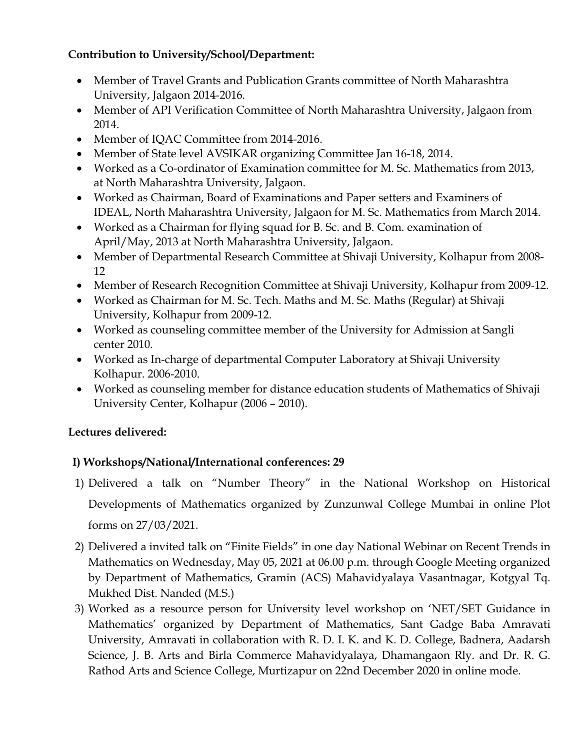## **Contribution to University/School/Department:**

- Member of Travel Grants and Publication Grants committee of North Maharashtra University, Jalgaon 2014-2016.
- Member of API Verification Committee of North Maharashtra University, Jalgaon from 2014.
- Member of IQAC Committee from 2014-2016.
- Member of State level AVSIKAR organizing Committee Jan 16-18, 2014.
- Worked as a Co-ordinator of Examination committee for M. Sc. Mathematics from 2013, at North Maharashtra University, Jalgaon.
- Worked as Chairman, Board of Examinations and Paper setters and Examiners of IDEAL, North Maharashtra University, Jalgaon for M. Sc. Mathematics from March 2014.
- Worked as a Chairman for flying squad for B. Sc. and B. Com. examination of April/May, 2013 at North Maharashtra University, Jalgaon.
- Member of Departmental Research Committee at Shivaji University, Kolhapur from 2008-12
- Member of Research Recognition Committee at Shivaji University, Kolhapur from 2009-12.
- Worked as Chairman for M. Sc. Tech. Maths and M. Sc. Maths (Regular) at Shivaji University, Kolhapur from 2009-12.
- Worked as counseling committee member of the University for Admission at Sangli center 2010.
- Worked as In-charge of departmental Computer Laboratory at Shivaji University Kolhapur. 2006-2010.
- Worked as counseling member for distance education students of Mathematics of Shivaji University Center, Kolhapur (2006 – 2010).

## **Lectures delivered:**

## **I) Workshops/National/International conferences: 29**

- 1) Delivered a talk on "Number Theory" in the National Workshop on Historical Developments of Mathematics organized by Zunzunwal College Mumbai in online Plot forms on 27/03/2021.
- 2) Delivered a invited talk on "Finite Fields" in one day National Webinar on Recent Trends in Mathematics on Wednesday, May 05, 2021 at 06.00 p.m. through Google Meeting organized by Department of Mathematics, Gramin (ACS) Mahavidyalaya Vasantnagar, Kotgyal Tq. Mukhed Dist. Nanded (M.S.)
- 3) Worked as a resource person for University level workshop on 'NET/SET Guidance in Mathematics' organized by Department of Mathematics, Sant Gadge Baba Amravati University, Amravati in collaboration with R. D. I. K. and K. D. College, Badnera, Aadarsh Science, J. B. Arts and Birla Commerce Mahavidyalaya, Dhamangaon Rly. and Dr. R. G. Rathod Arts and Science College, Murtizapur on 22nd December 2020 in online mode.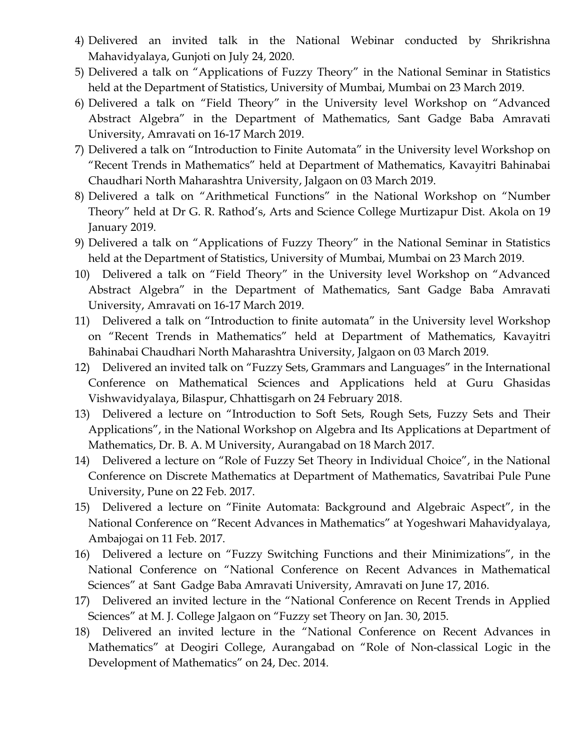- 4) Delivered an invited talk in the National Webinar conducted by Shrikrishna Mahavidyalaya, Gunjoti on July 24, 2020.
- 5) Delivered a talk on "Applications of Fuzzy Theory" in the National Seminar in Statistics held at the Department of Statistics, University of Mumbai, Mumbai on 23 March 2019.
- 6) Delivered a talk on "Field Theory" in the University level Workshop on "Advanced Abstract Algebra" in the Department of Mathematics, Sant Gadge Baba Amravati University, Amravati on 16-17 March 2019.
- 7) Delivered a talk on "Introduction to Finite Automata" in the University level Workshop on "Recent Trends in Mathematics" held at Department of Mathematics, Kavayitri Bahinabai Chaudhari North Maharashtra University, Jalgaon on 03 March 2019.
- 8) Delivered a talk on "Arithmetical Functions" in the National Workshop on "Number Theory" held at Dr G. R. Rathod's, Arts and Science College Murtizapur Dist. Akola on 19 January 2019.
- 9) Delivered a talk on "Applications of Fuzzy Theory" in the National Seminar in Statistics held at the Department of Statistics, University of Mumbai, Mumbai on 23 March 2019.
- 10) Delivered a talk on "Field Theory" in the University level Workshop on "Advanced Abstract Algebra" in the Department of Mathematics, Sant Gadge Baba Amravati University, Amravati on 16-17 March 2019.
- 11) Delivered a talk on "Introduction to finite automata" in the University level Workshop on "Recent Trends in Mathematics" held at Department of Mathematics, Kavayitri Bahinabai Chaudhari North Maharashtra University, Jalgaon on 03 March 2019.
- 12) Delivered an invited talk on "Fuzzy Sets, Grammars and Languages" in the International Conference on Mathematical Sciences and Applications held at Guru Ghasidas Vishwavidyalaya, Bilaspur, Chhattisgarh on 24 February 2018.
- 13) Delivered a lecture on "Introduction to Soft Sets, Rough Sets, Fuzzy Sets and Their Applications", in the National Workshop on Algebra and Its Applications at Department of Mathematics, Dr. B. A. M University, Aurangabad on 18 March 2017.
- 14) Delivered a lecture on "Role of Fuzzy Set Theory in Individual Choice", in the National Conference on Discrete Mathematics at Department of Mathematics, Savatribai Pule Pune University, Pune on 22 Feb. 2017.
- 15) Delivered a lecture on "Finite Automata: Background and Algebraic Aspect", in the National Conference on "Recent Advances in Mathematics" at Yogeshwari Mahavidyalaya, Ambajogai on 11 Feb. 2017.
- 16) Delivered a lecture on "Fuzzy Switching Functions and their Minimizations", in the National Conference on "National Conference on Recent Advances in Mathematical Sciences" at Sant Gadge Baba Amravati University, Amravati on June 17, 2016.
- 17) Delivered an invited lecture in the "National Conference on Recent Trends in Applied Sciences" at M. J. College Jalgaon on "Fuzzy set Theory on Jan. 30, 2015.
- 18) Delivered an invited lecture in the "National Conference on Recent Advances in Mathematics" at Deogiri College, Aurangabad on "Role of Non-classical Logic in the Development of Mathematics" on 24, Dec. 2014.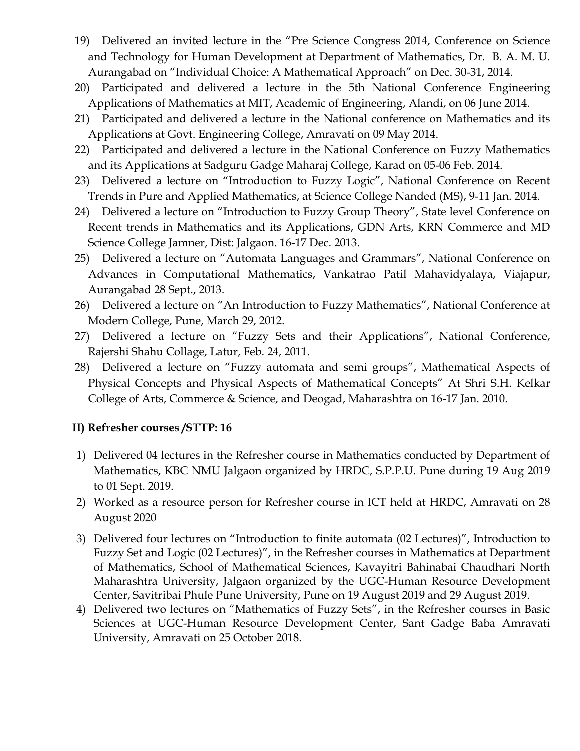- 19) Delivered an invited lecture in the "Pre Science Congress 2014, Conference on Science and Technology for Human Development at Department of Mathematics, Dr. B. A. M. U. Aurangabad on "Individual Choice: A Mathematical Approach" on Dec. 30-31, 2014.
- 20) Participated and delivered a lecture in the 5th National Conference Engineering Applications of Mathematics at MIT, Academic of Engineering, Alandi, on 06 June 2014.
- 21) Participated and delivered a lecture in the National conference on Mathematics and its Applications at Govt. Engineering College, Amravati on 09 May 2014.
- 22) Participated and delivered a lecture in the National Conference on Fuzzy Mathematics and its Applications at Sadguru Gadge Maharaj College, Karad on 05-06 Feb. 2014.
- 23) Delivered a lecture on "Introduction to Fuzzy Logic", National Conference on Recent Trends in Pure and Applied Mathematics, at Science College Nanded (MS), 9-11 Jan. 2014.
- 24) Delivered a lecture on "Introduction to Fuzzy Group Theory", State level Conference on Recent trends in Mathematics and its Applications, GDN Arts, KRN Commerce and MD Science College Jamner, Dist: Jalgaon. 16-17 Dec. 2013.
- 25) Delivered a lecture on "Automata Languages and Grammars", National Conference on Advances in Computational Mathematics, Vankatrao Patil Mahavidyalaya, Viajapur, Aurangabad 28 Sept., 2013.
- 26) Delivered a lecture on "An Introduction to Fuzzy Mathematics", National Conference at Modern College, Pune, March 29, 2012.
- 27) Delivered a lecture on "Fuzzy Sets and their Applications", National Conference, Rajershi Shahu Collage, Latur, Feb. 24, 2011.
- 28) Delivered a lecture on "Fuzzy automata and semi groups", Mathematical Aspects of Physical Concepts and Physical Aspects of Mathematical Concepts" At Shri S.H. Kelkar College of Arts, Commerce & Science, and Deogad, Maharashtra on 16-17 Jan. 2010.

#### **II) Refresher courses /STTP: 16**

- 1) Delivered 04 lectures in the Refresher course in Mathematics conducted by Department of Mathematics, KBC NMU Jalgaon organized by HRDC, S.P.P.U. Pune during 19 Aug 2019 to 01 Sept. 2019.
- 2) Worked as a resource person for Refresher course in ICT held at HRDC, Amravati on 28 August 2020
- 3) Delivered four lectures on "Introduction to finite automata (02 Lectures)", Introduction to Fuzzy Set and Logic (02 Lectures)", in the Refresher courses in Mathematics at Department of Mathematics, School of Mathematical Sciences, Kavayitri Bahinabai Chaudhari North Maharashtra University, Jalgaon organized by the UGC-Human Resource Development Center, Savitribai Phule Pune University, Pune on 19 August 2019 and 29 August 2019.
- 4) Delivered two lectures on "Mathematics of Fuzzy Sets", in the Refresher courses in Basic Sciences at UGC-Human Resource Development Center, Sant Gadge Baba Amravati University, Amravati on 25 October 2018.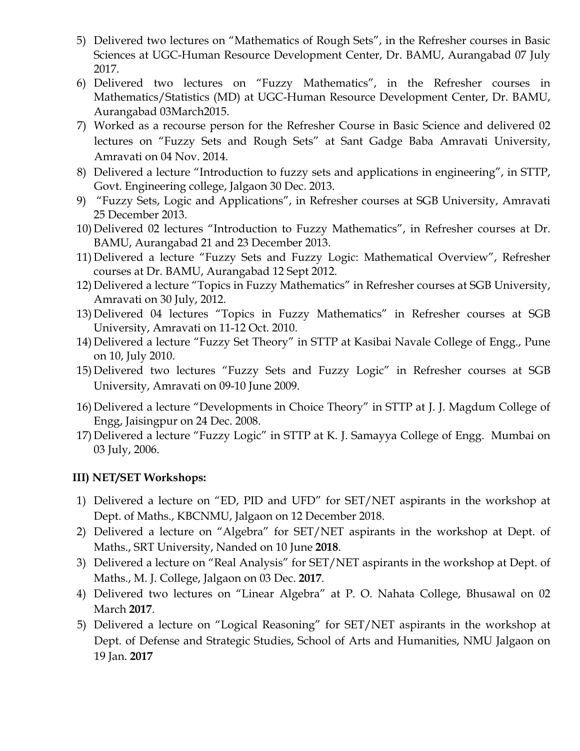- 5) Delivered two lectures on "Mathematics of Rough Sets", in the Refresher courses in Basic Sciences at UGC-Human Resource Development Center, Dr. BAMU, Aurangabad 07 July 2017.
- 6) Delivered two lectures on "Fuzzy Mathematics", in the Refresher courses in Mathematics/Statistics (MD) at UGC-Human Resource Development Center, Dr. BAMU, Aurangabad 03March2015.
- 7) Worked as a recourse person for the Refresher Course in Basic Science and delivered 02 lectures on "Fuzzy Sets and Rough Sets" at Sant Gadge Baba Amravati University, Amravati on 04 Nov. 2014.
- 8) Delivered a lecture "Introduction to fuzzy sets and applications in engineering", in STTP, Govt. Engineering college, Jalgaon 30 Dec. 2013.
- 9) "Fuzzy Sets, Logic and Applications", in Refresher courses at SGB University, Amravati 25 December 2013.
- 10) Delivered 02 lectures "Introduction to Fuzzy Mathematics", in Refresher courses at Dr. BAMU, Aurangabad 21 and 23 December 2013.
- 11) Delivered a lecture "Fuzzy Sets and Fuzzy Logic: Mathematical Overview", Refresher courses at Dr. BAMU, Aurangabad 12 Sept 2012.
- 12) Delivered a lecture "Topics in Fuzzy Mathematics" in Refresher courses at SGB University, Amravati on 30 July, 2012.
- 13) Delivered 04 lectures "Topics in Fuzzy Mathematics" in Refresher courses at SGB University, Amravati on 11-12 Oct. 2010.
- 14) Delivered a lecture "Fuzzy Set Theory" in STTP at Kasibai Navale College of Engg., Pune on 10, July 2010.
- 15) Delivered two lectures "Fuzzy Sets and Fuzzy Logic" in Refresher courses at SGB University, Amravati on 09-10 June 2009.
- 16) Delivered a lecture "Developments in Choice Theory" in STTP at J. J. Magdum College of Engg, Jaisingpur on 24 Dec. 2008.
- 17) Delivered a lecture "Fuzzy Logic" in STTP at K. J. Samayya College of Engg. Mumbai on 03 July, 2006.

#### **III) NET/SET Workshops:**

- 1) Delivered a lecture on "ED, PID and UFD" for SET/NET aspirants in the workshop at Dept. of Maths., KBCNMU, Jalgaon on 12 December 2018.
- 2) Delivered a lecture on "Algebra" for SET/NET aspirants in the workshop at Dept. of Maths., SRT University, Nanded on 10 June **2018**.
- 3) Delivered a lecture on "Real Analysis" for SET/NET aspirants in the workshop at Dept. of Maths., M. J. College, Jalgaon on 03 Dec. **2017**.
- 4) Delivered two lectures on "Linear Algebra" at P. O. Nahata College, Bhusawal on 02 March **2017**.
- 5) Delivered a lecture on "Logical Reasoning" for SET/NET aspirants in the workshop at Dept. of Defense and Strategic Studies, School of Arts and Humanities, NMU Jalgaon on 19 Jan. **2017**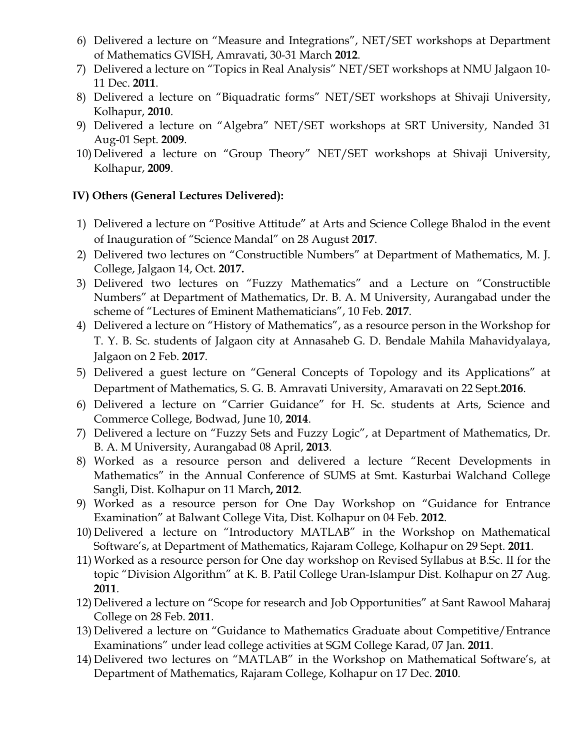- 6) Delivered a lecture on "Measure and Integrations", NET/SET workshops at Department of Mathematics GVISH, Amravati, 30-31 March **2012**.
- 7) Delivered a lecture on "Topics in Real Analysis" NET/SET workshops at NMU Jalgaon 10- 11 Dec. **2011**.
- 8) Delivered a lecture on "Biquadratic forms" NET/SET workshops at Shivaji University, Kolhapur, **2010**.
- 9) Delivered a lecture on "Algebra" NET/SET workshops at SRT University, Nanded 31 Aug-01 Sept. **2009**.
- 10) Delivered a lecture on "Group Theory" NET/SET workshops at Shivaji University, Kolhapur, **2009**.

#### **IV) Others (General Lectures Delivered):**

- 1) Delivered a lecture on "Positive Attitude" at Arts and Science College Bhalod in the event of Inauguration of "Science Mandal" on 28 August 2**017**.
- 2) Delivered two lectures on "Constructible Numbers" at Department of Mathematics, M. J. College, Jalgaon 14, Oct. **2017.**
- 3) Delivered two lectures on "Fuzzy Mathematics" and a Lecture on "Constructible Numbers" at Department of Mathematics, Dr. B. A. M University, Aurangabad under the scheme of "Lectures of Eminent Mathematicians", 10 Feb. **2017**.
- 4) Delivered a lecture on "History of Mathematics", as a resource person in the Workshop for T. Y. B. Sc. students of Jalgaon city at Annasaheb G. D. Bendale Mahila Mahavidyalaya, Jalgaon on 2 Feb. **2017**.
- 5) Delivered a guest lecture on "General Concepts of Topology and its Applications" at Department of Mathematics, S. G. B. Amravati University, Amaravati on 22 Sept.**2016**.
- 6) Delivered a lecture on "Carrier Guidance" for H. Sc. students at Arts, Science and Commerce College, Bodwad, June 10, **2014**.
- 7) Delivered a lecture on "Fuzzy Sets and Fuzzy Logic", at Department of Mathematics, Dr. B. A. M University, Aurangabad 08 April, **2013**.
- 8) Worked as a resource person and delivered a lecture "Recent Developments in Mathematics" in the Annual Conference of SUMS at Smt. Kasturbai Walchand College Sangli, Dist. Kolhapur on 11 March**, 2012**.
- 9) Worked as a resource person for One Day Workshop on "Guidance for Entrance Examination" at Balwant College Vita, Dist. Kolhapur on 04 Feb. **2012**.
- 10) Delivered a lecture on "Introductory MATLAB" in the Workshop on Mathematical Software's, at Department of Mathematics, Rajaram College, Kolhapur on 29 Sept. **2011**.
- 11) Worked as a resource person for One day workshop on Revised Syllabus at B.Sc. II for the topic "Division Algorithm" at K. B. Patil College Uran-Islampur Dist. Kolhapur on 27 Aug. **2011**.
- 12) Delivered a lecture on "Scope for research and Job Opportunities" at Sant Rawool Maharaj College on 28 Feb. **2011**.
- 13) Delivered a lecture on "Guidance to Mathematics Graduate about Competitive/Entrance Examinations" under lead college activities at SGM College Karad, 07 Jan. **2011**.
- 14) Delivered two lectures on "MATLAB" in the Workshop on Mathematical Software's, at Department of Mathematics, Rajaram College, Kolhapur on 17 Dec. **2010**.